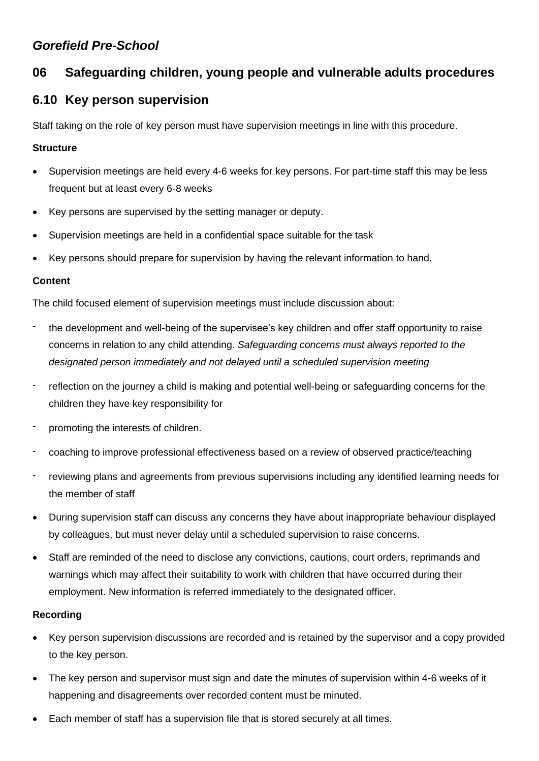# *Gorefield Pre-School*

# **06 Safeguarding children, young people and vulnerable adults procedures**

# **6.10 Key person supervision**

Staff taking on the role of key person must have supervision meetings in line with this procedure.

#### **Structure**

- Supervision meetings are held every 4-6 weeks for key persons. For part-time staff this may be less frequent but at least every 6-8 weeks
- Key persons are supervised by the setting manager or deputy.
- Supervision meetings are held in a confidential space suitable for the task
- Key persons should prepare for supervision by having the relevant information to hand.

#### **Content**

The child focused element of supervision meetings must include discussion about:

- the development and well-being of the supervisee's key children and offer staff opportunity to raise concerns in relation to any child attending. *Safeguarding concerns must always reported to the designated person immediately and not delayed until a scheduled supervision meeting*
- reflection on the journey a child is making and potential well-being or safeguarding concerns for the children they have key responsibility for
- promoting the interests of children.
- coaching to improve professional effectiveness based on a review of observed practice/teaching
- reviewing plans and agreements from previous supervisions including any identified learning needs for the member of staff
- During supervision staff can discuss any concerns they have about inappropriate behaviour displayed by colleagues, but must never delay until a scheduled supervision to raise concerns.
- Staff are reminded of the need to disclose any convictions, cautions, court orders, reprimands and warnings which may affect their suitability to work with children that have occurred during their employment. New information is referred immediately to the designated officer.

## **Recording**

- Key person supervision discussions are recorded and is retained by the supervisor and a copy provided to the key person.
- The key person and supervisor must sign and date the minutes of supervision within 4-6 weeks of it happening and disagreements over recorded content must be minuted.
- Each member of staff has a supervision file that is stored securely at all times.